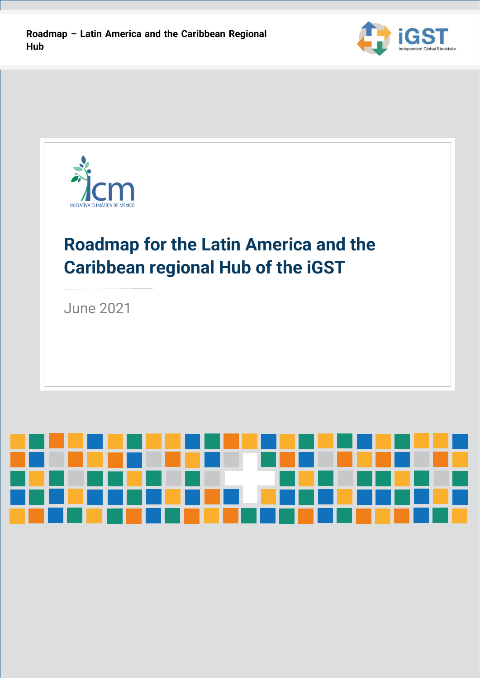



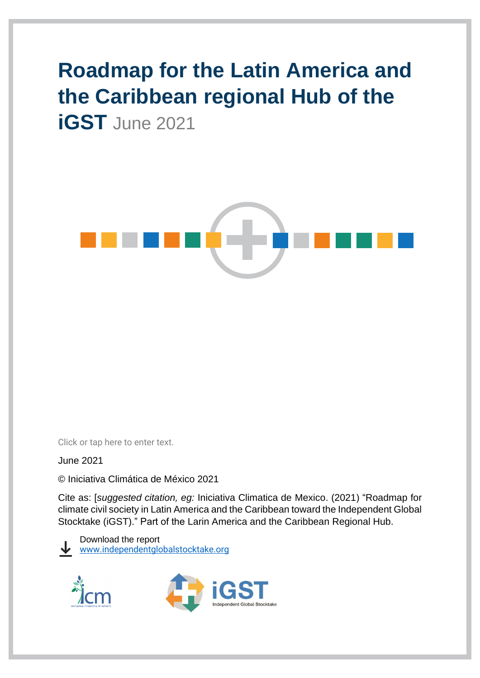# **Roadmap for the Latin America and the Caribbean regional Hub of the iGST** June 2021



Click or tap here to enter text.

June 2021

© Iniciativa Climática de México 2021

Cite as: [*suggested citation, eg:* Iniciativa Climatica de Mexico. (2021) "Roadmap for climate civil society in Latin America and the Caribbean toward the Independent Global Stocktake (iGST)." Part of the Larin America and the Caribbean Regional Hub.

Download the report [www.independentglobalstocktake.org](http://www.independentglobalstocktake.org/)



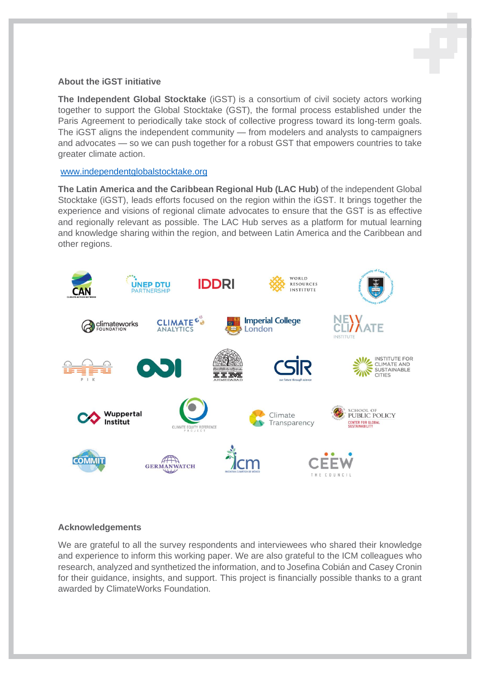#### **About the iGST initiative**

**The Independent Global Stocktake** (iGST) is a consortium of civil society actors working together to support the Global Stocktake (GST), the formal process established under the Paris Agreement to periodically take stock of collective progress toward its long-term goals. The iGST aligns the independent community — from modelers and analysts to campaigners and advocates — so we can push together for a robust GST that empowers countries to take greater climate action.

#### [www.independentglobalstocktake.org](http://www.independentglobalstocktake.org/)

**The Latin America and the Caribbean Regional Hub (LAC Hub)** of the independent Global Stocktake (iGST), leads efforts focused on the region within the iGST. It brings together the experience and visions of regional climate advocates to ensure that the GST is as effective and regionally relevant as possible. The LAC Hub serves as a platform for mutual learning and knowledge sharing within the region, and between Latin America and the Caribbean and other regions.



#### **Acknowledgements**

We are grateful to all the survey respondents and interviewees who shared their knowledge and experience to inform this working paper. We are also grateful to the ICM colleagues who research, analyzed and synthetized the information, and to Josefina Cobián and Casey Cronin for their guidance, insights, and support. This project is financially possible thanks to a grant awarded by ClimateWorks Foundation.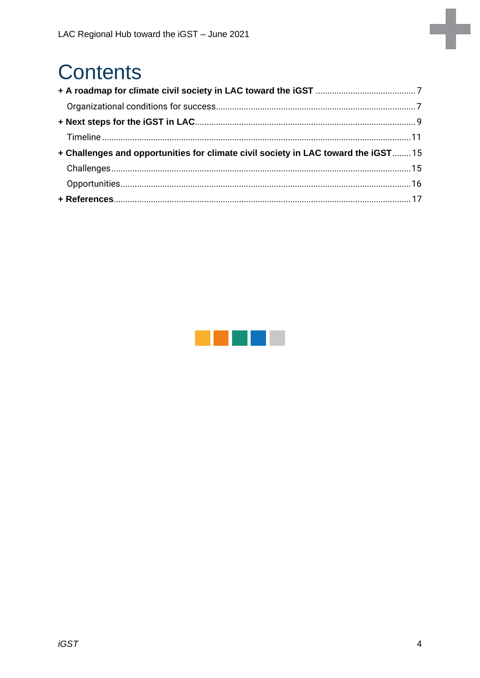# **Contents**

| + Challenges and opportunities for climate civil society in LAC toward the iGST15 |  |
|-----------------------------------------------------------------------------------|--|
|                                                                                   |  |
|                                                                                   |  |
|                                                                                   |  |

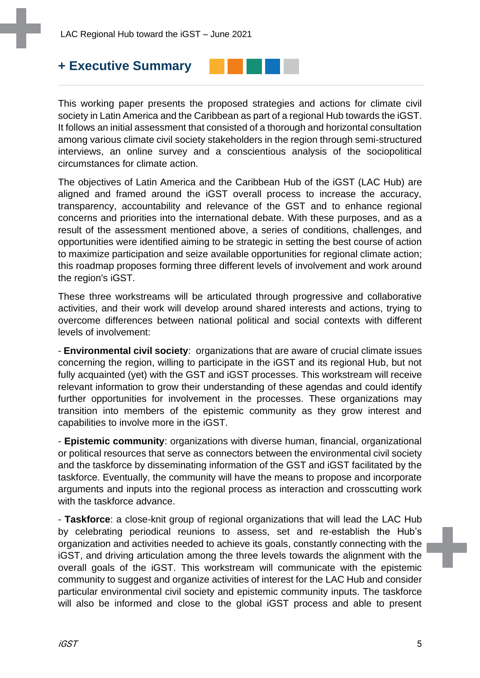## **+ Executive Summary**



This working paper presents the proposed strategies and actions for climate civil society in Latin America and the Caribbean as part of a regional Hub towards the iGST. It follows an initial assessment that consisted of a thorough and horizontal consultation among various climate civil society stakeholders in the region through semi-structured interviews, an online survey and a conscientious analysis of the sociopolitical circumstances for climate action.

The objectives of Latin America and the Caribbean Hub of the iGST (LAC Hub) are aligned and framed around the iGST overall process to increase the accuracy, transparency, accountability and relevance of the GST and to enhance regional concerns and priorities into the international debate. With these purposes, and as a result of the assessment mentioned above, a series of conditions, challenges, and opportunities were identified aiming to be strategic in setting the best course of action to maximize participation and seize available opportunities for regional climate action; this roadmap proposes forming three different levels of involvement and work around the region's iGST.

These three workstreams will be articulated through progressive and collaborative activities, and their work will develop around shared interests and actions, trying to overcome differences between national political and social contexts with different levels of involvement:

- **Environmental civil society**: organizations that are aware of crucial climate issues concerning the region, willing to participate in the iGST and its regional Hub, but not fully acquainted (yet) with the GST and iGST processes. This workstream will receive relevant information to grow their understanding of these agendas and could identify further opportunities for involvement in the processes. These organizations may transition into members of the epistemic community as they grow interest and capabilities to involve more in the iGST.

- **Epistemic community**: organizations with diverse human, financial, organizational or political resources that serve as connectors between the environmental civil society and the taskforce by disseminating information of the GST and iGST facilitated by the taskforce. Eventually, the community will have the means to propose and incorporate arguments and inputs into the regional process as interaction and crosscutting work with the taskforce advance.

- **Taskforce**: a close-knit group of regional organizations that will lead the LAC Hub by celebrating periodical reunions to assess, set and re-establish the Hub's organization and activities needed to achieve its goals, constantly connecting with the iGST, and driving articulation among the three levels towards the alignment with the overall goals of the iGST. This workstream will communicate with the epistemic community to suggest and organize activities of interest for the LAC Hub and consider particular environmental civil society and epistemic community inputs. The taskforce will also be informed and close to the global iGST process and able to present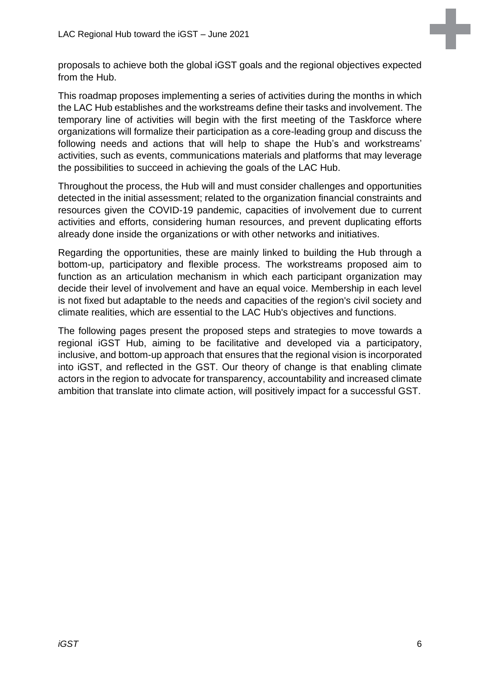proposals to achieve both the global iGST goals and the regional objectives expected from the Hub.

This roadmap proposes implementing a series of activities during the months in which the LAC Hub establishes and the workstreams define their tasks and involvement. The temporary line of activities will begin with the first meeting of the Taskforce where organizations will formalize their participation as a core-leading group and discuss the following needs and actions that will help to shape the Hub's and workstreams' activities, such as events, communications materials and platforms that may leverage the possibilities to succeed in achieving the goals of the LAC Hub.

Throughout the process, the Hub will and must consider challenges and opportunities detected in the initial assessment; related to the organization financial constraints and resources given the COVID-19 pandemic, capacities of involvement due to current activities and efforts, considering human resources, and prevent duplicating efforts already done inside the organizations or with other networks and initiatives.

Regarding the opportunities, these are mainly linked to building the Hub through a bottom-up, participatory and flexible process. The workstreams proposed aim to function as an articulation mechanism in which each participant organization may decide their level of involvement and have an equal voice. Membership in each level is not fixed but adaptable to the needs and capacities of the region's civil society and climate realities, which are essential to the LAC Hub's objectives and functions.

The following pages present the proposed steps and strategies to move towards a regional iGST Hub, aiming to be facilitative and developed via a participatory, inclusive, and bottom-up approach that ensures that the regional vision is incorporated into iGST, and reflected in the GST. Our theory of change is that enabling climate actors in the region to advocate for transparency, accountability and increased climate ambition that translate into climate action, will positively impact for a successful GST.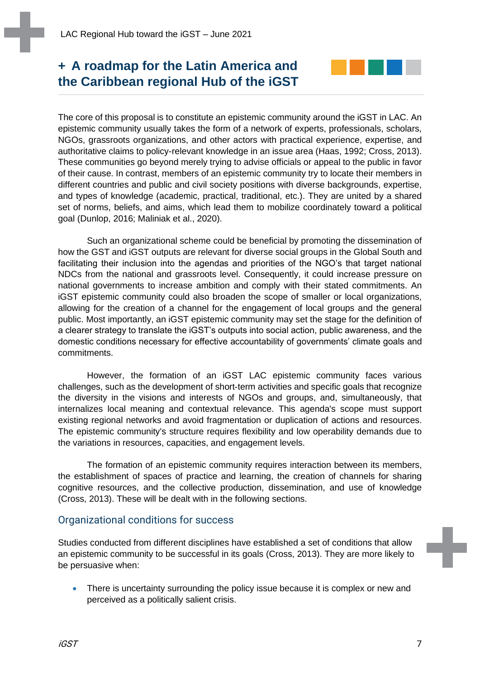## <span id="page-6-0"></span>**+ A roadmap for the Latin America and the Caribbean regional Hub of the iGST**



The core of this proposal is to constitute an epistemic community around the iGST in LAC. An epistemic community usually takes the form of a network of experts, professionals, scholars, NGOs, grassroots organizations, and other actors with practical experience, expertise, and authoritative claims to policy-relevant knowledge in an issue area (Haas, 1992; Cross, 2013). These communities go beyond merely trying to advise officials or appeal to the public in favor of their cause. In contrast, members of an epistemic community try to locate their members in different countries and public and civil society positions with diverse backgrounds, expertise, and types of knowledge (academic, practical, traditional, etc.). They are united by a shared set of norms, beliefs, and aims, which lead them to mobilize coordinately toward a political goal (Dunlop, 2016; Maliniak et al., 2020).

Such an organizational scheme could be beneficial by promoting the dissemination of how the GST and iGST outputs are relevant for diverse social groups in the Global South and facilitating their inclusion into the agendas and priorities of the NGO's that target national NDCs from the national and grassroots level. Consequently, it could increase pressure on national governments to increase ambition and comply with their stated commitments. An iGST epistemic community could also broaden the scope of smaller or local organizations, allowing for the creation of a channel for the engagement of local groups and the general public. Most importantly, an iGST epistemic community may set the stage for the definition of a clearer strategy to translate the iGST's outputs into social action, public awareness, and the domestic conditions necessary for effective accountability of governments' climate goals and commitments.

However, the formation of an iGST LAC epistemic community faces various challenges, such as the development of short-term activities and specific goals that recognize the diversity in the visions and interests of NGOs and groups, and, simultaneously, that internalizes local meaning and contextual relevance. This agenda's scope must support existing regional networks and avoid fragmentation or duplication of actions and resources. The epistemic community's structure requires flexibility and low operability demands due to the variations in resources, capacities, and engagement levels.

The formation of an epistemic community requires interaction between its members, the establishment of spaces of practice and learning, the creation of channels for sharing cognitive resources, and the collective production, dissemination, and use of knowledge (Cross, 2013). These will be dealt with in the following sections.

#### <span id="page-6-1"></span>Organizational conditions for success

Studies conducted from different disciplines have established a set of conditions that allow an epistemic community to be successful in its goals (Cross, 2013). They are more likely to be persuasive when:

There is uncertainty surrounding the policy issue because it is complex or new and perceived as a politically salient crisis.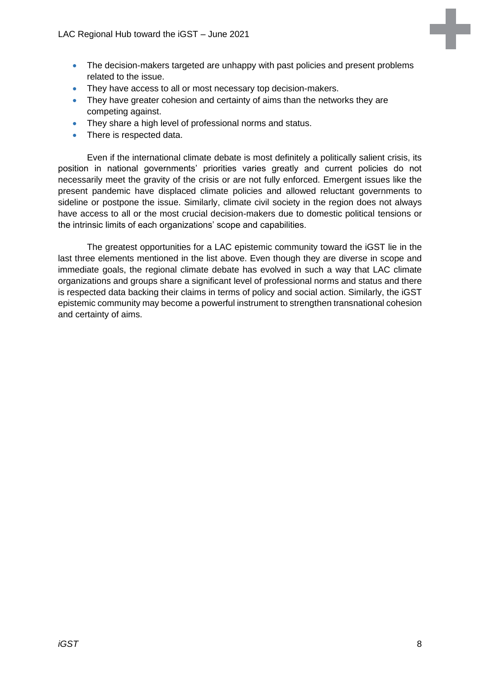- The decision-makers targeted are unhappy with past policies and present problems related to the issue.
- They have access to all or most necessary top decision-makers.
- They have greater cohesion and certainty of aims than the networks they are competing against.
- They share a high level of professional norms and status.
- There is respected data.

Even if the international climate debate is most definitely a politically salient crisis, its position in national governments' priorities varies greatly and current policies do not necessarily meet the gravity of the crisis or are not fully enforced. Emergent issues like the present pandemic have displaced climate policies and allowed reluctant governments to sideline or postpone the issue. Similarly, climate civil society in the region does not always have access to all or the most crucial decision-makers due to domestic political tensions or the intrinsic limits of each organizations' scope and capabilities.

The greatest opportunities for a LAC epistemic community toward the iGST lie in the last three elements mentioned in the list above. Even though they are diverse in scope and immediate goals, the regional climate debate has evolved in such a way that LAC climate organizations and groups share a significant level of professional norms and status and there is respected data backing their claims in terms of policy and social action. Similarly, the iGST epistemic community may become a powerful instrument to strengthen transnational cohesion and certainty of aims.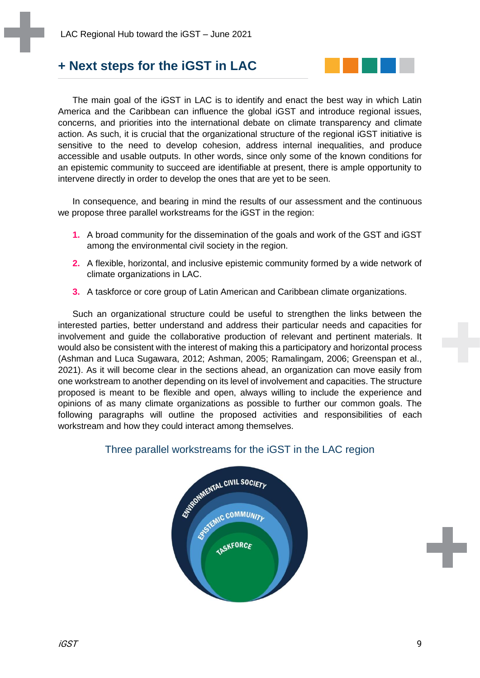## <span id="page-8-0"></span>**+ Next steps for the iGST in LAC**



The main goal of the iGST in LAC is to identify and enact the best way in which Latin America and the Caribbean can influence the global iGST and introduce regional issues, concerns, and priorities into the international debate on climate transparency and climate action. As such, it is crucial that the organizational structure of the regional iGST initiative is sensitive to the need to develop cohesion, address internal inequalities, and produce accessible and usable outputs. In other words, since only some of the known conditions for an epistemic community to succeed are identifiable at present, there is ample opportunity to intervene directly in order to develop the ones that are yet to be seen.

In consequence, and bearing in mind the results of our assessment and the continuous we propose three parallel workstreams for the iGST in the region:

- **1.** A broad community for the dissemination of the goals and work of the GST and iGST among the environmental civil society in the region.
- **2.** A flexible, horizontal, and inclusive epistemic community formed by a wide network of climate organizations in LAC.
- **3.** A taskforce or core group of Latin American and Caribbean climate organizations.

Such an organizational structure could be useful to strengthen the links between the interested parties, better understand and address their particular needs and capacities for involvement and guide the collaborative production of relevant and pertinent materials. It would also be consistent with the interest of making this a participatory and horizontal process (Ashman and Luca Sugawara, 2012; Ashman, 2005; Ramalingam, 2006; Greenspan et al., 2021). As it will become clear in the sections ahead, an organization can move easily from one workstream to another depending on its level of involvement and capacities. The structure proposed is meant to be flexible and open, always willing to include the experience and opinions of as many climate organizations as possible to further our common goals. The following paragraphs will outline the proposed activities and responsibilities of each workstream and how they could interact among themselves.



#### Three parallel workstreams for the iGST in the LAC region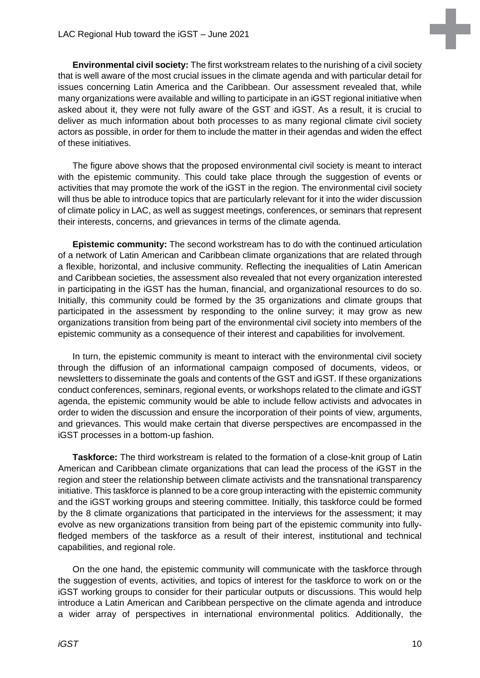**Environmental civil society:** The first workstream relates to the nurishing of a civil society that is well aware of the most crucial issues in the climate agenda and with particular detail for issues concerning Latin America and the Caribbean. Our assessment revealed that, while many organizations were available and willing to participate in an iGST regional initiative when asked about it, they were not fully aware of the GST and iGST. As a result, it is crucial to deliver as much information about both processes to as many regional climate civil society actors as possible, in order for them to include the matter in their agendas and widen the effect of these initiatives.

The figure above shows that the proposed environmental civil society is meant to interact with the epistemic community. This could take place through the suggestion of events or activities that may promote the work of the iGST in the region. The environmental civil society will thus be able to introduce topics that are particularly relevant for it into the wider discussion of climate policy in LAC, as well as suggest meetings, conferences, or seminars that represent their interests, concerns, and grievances in terms of the climate agenda.

**Epistemic community:** The second workstream has to do with the continued articulation of a network of Latin American and Caribbean climate organizations that are related through a flexible, horizontal, and inclusive community. Reflecting the inequalities of Latin American and Caribbean societies, the assessment also revealed that not every organization interested in participating in the iGST has the human, financial, and organizational resources to do so. Initially, this community could be formed by the 35 organizations and climate groups that participated in the assessment by responding to the online survey; it may grow as new organizations transition from being part of the environmental civil society into members of the epistemic community as a consequence of their interest and capabilities for involvement.

In turn, the epistemic community is meant to interact with the environmental civil society through the diffusion of an informational campaign composed of documents, videos, or newsletters to disseminate the goals and contents of the GST and iGST. If these organizations conduct conferences, seminars, regional events, or workshops related to the climate and iGST agenda, the epistemic community would be able to include fellow activists and advocates in order to widen the discussion and ensure the incorporation of their points of view, arguments, and grievances. This would make certain that diverse perspectives are encompassed in the iGST processes in a bottom-up fashion.

**Taskforce:** The third workstream is related to the formation of a close-knit group of Latin American and Caribbean climate organizations that can lead the process of the iGST in the region and steer the relationship between climate activists and the transnational transparency initiative. This taskforce is planned to be a core group interacting with the epistemic community and the iGST working groups and steering committee. Initially, this taskforce could be formed by the 8 climate organizations that participated in the interviews for the assessment; it may evolve as new organizations transition from being part of the epistemic community into fullyfledged members of the taskforce as a result of their interest, institutional and technical capabilities, and regional role.

On the one hand, the epistemic community will communicate with the taskforce through the suggestion of events, activities, and topics of interest for the taskforce to work on or the iGST working groups to consider for their particular outputs or discussions. This would help introduce a Latin American and Caribbean perspective on the climate agenda and introduce a wider array of perspectives in international environmental politics. Additionally, the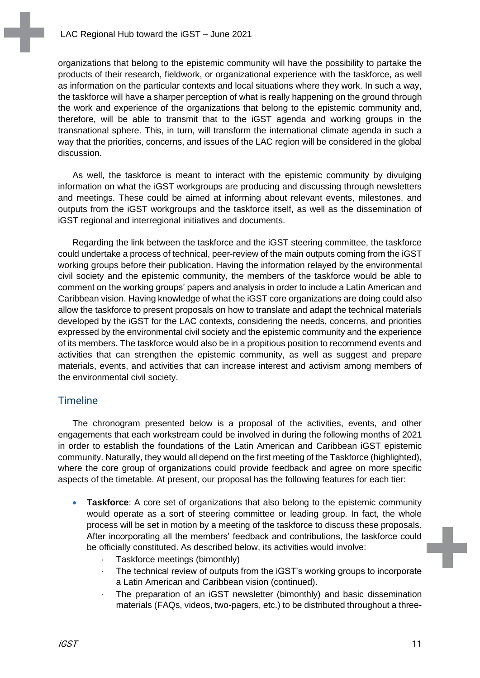organizations that belong to the epistemic community will have the possibility to partake the products of their research, fieldwork, or organizational experience with the taskforce, as well as information on the particular contexts and local situations where they work. In such a way, the taskforce will have a sharper perception of what is really happening on the ground through the work and experience of the organizations that belong to the epistemic community and, therefore, will be able to transmit that to the iGST agenda and working groups in the transnational sphere. This, in turn, will transform the international climate agenda in such a way that the priorities, concerns, and issues of the LAC region will be considered in the global discussion.

As well, the taskforce is meant to interact with the epistemic community by divulging information on what the iGST workgroups are producing and discussing through newsletters and meetings. These could be aimed at informing about relevant events, milestones, and outputs from the iGST workgroups and the taskforce itself, as well as the dissemination of iGST regional and interregional initiatives and documents.

Regarding the link between the taskforce and the iGST steering committee, the taskforce could undertake a process of technical, peer-review of the main outputs coming from the iGST working groups before their publication. Having the information relayed by the environmental civil society and the epistemic community, the members of the taskforce would be able to comment on the working groups' papers and analysis in order to include a Latin American and Caribbean vision. Having knowledge of what the iGST core organizations are doing could also allow the taskforce to present proposals on how to translate and adapt the technical materials developed by the iGST for the LAC contexts, considering the needs, concerns, and priorities expressed by the environmental civil society and the epistemic community and the experience of its members. The taskforce would also be in a propitious position to recommend events and activities that can strengthen the epistemic community, as well as suggest and prepare materials, events, and activities that can increase interest and activism among members of the environmental civil society.

#### <span id="page-10-0"></span>**Timeline**

The chronogram presented below is a proposal of the activities, events, and other engagements that each workstream could be involved in during the following months of 2021 in order to establish the foundations of the Latin American and Caribbean iGST epistemic community. Naturally, they would all depend on the first meeting of the Taskforce (highlighted), where the core group of organizations could provide feedback and agree on more specific aspects of the timetable. At present, our proposal has the following features for each tier:

- **Taskforce**: A core set of organizations that also belong to the epistemic community would operate as a sort of steering committee or leading group. In fact, the whole process will be set in motion by a meeting of the taskforce to discuss these proposals. After incorporating all the members' feedback and contributions, the taskforce could be officially constituted. As described below, its activities would involve:
	- Taskforce meetings (bimonthly)
	- The technical review of outputs from the iGST's working groups to incorporate a Latin American and Caribbean vision (continued).
	- The preparation of an iGST newsletter (bimonthly) and basic dissemination materials (FAQs, videos, two-pagers, etc.) to be distributed throughout a three-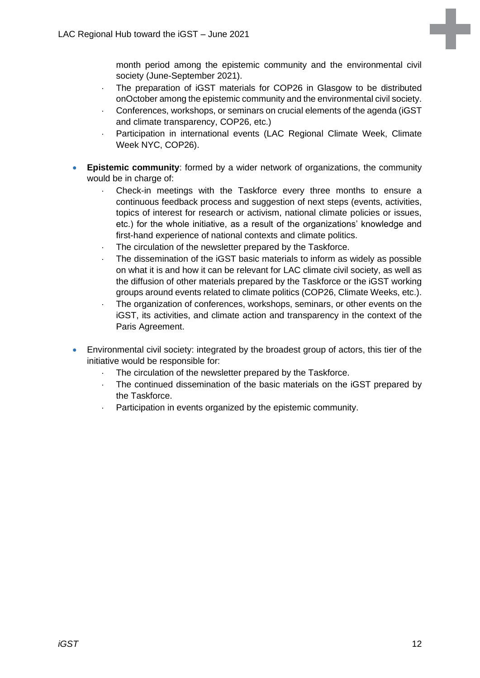month period among the epistemic community and the environmental civil society (June-September 2021).

- The preparation of iGST materials for COP26 in Glasgow to be distributed onOctober among the epistemic community and the environmental civil society.
- Conferences, workshops, or seminars on crucial elements of the agenda (iGST and climate transparency, COP26, etc.)
- Participation in international events (LAC Regional Climate Week, Climate Week NYC, COP26).
- **Epistemic community**: formed by a wider network of organizations, the community would be in charge of:
	- Check-in meetings with the Taskforce every three months to ensure a continuous feedback process and suggestion of next steps (events, activities, topics of interest for research or activism, national climate policies or issues, etc.) for the whole initiative, as a result of the organizations' knowledge and first-hand experience of national contexts and climate politics.
	- The circulation of the newsletter prepared by the Taskforce.
	- The dissemination of the iGST basic materials to inform as widely as possible on what it is and how it can be relevant for LAC climate civil society, as well as the diffusion of other materials prepared by the Taskforce or the iGST working groups around events related to climate politics (COP26, Climate Weeks, etc.).
	- The organization of conferences, workshops, seminars, or other events on the iGST, its activities, and climate action and transparency in the context of the Paris Agreement.
- Environmental civil society: integrated by the broadest group of actors, this tier of the initiative would be responsible for:
	- The circulation of the newsletter prepared by the Taskforce.
	- The continued dissemination of the basic materials on the iGST prepared by the Taskforce.
	- Participation in events organized by the epistemic community.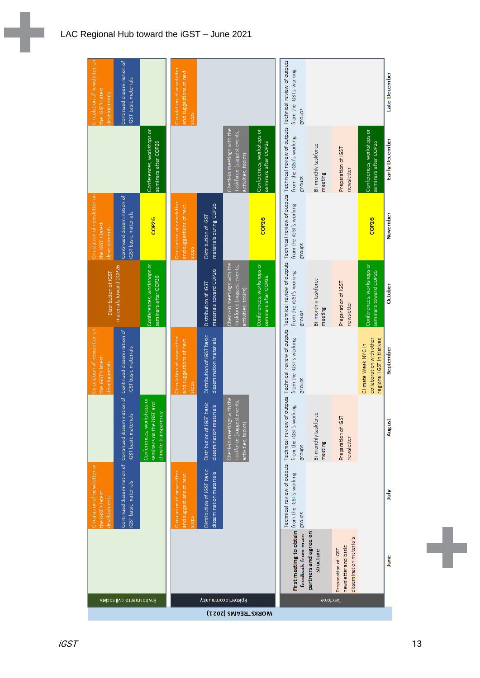|                                            |                                                                        | Circulation of newsletter on<br>the iGST's latest<br>developments  |                                                                                       | Circulation of newsletter on<br>the iGST's latest<br>developments            | Distribution of iGST                                                            | Circulation of newsletter on<br>the iGST's latest<br>developments       |                                                                                 | Circulation of newsletter on<br>the iGST's latest<br>developments |
|--------------------------------------------|------------------------------------------------------------------------|--------------------------------------------------------------------|---------------------------------------------------------------------------------------|------------------------------------------------------------------------------|---------------------------------------------------------------------------------|-------------------------------------------------------------------------|---------------------------------------------------------------------------------|-------------------------------------------------------------------|
| Environmental civil society                |                                                                        | Continued dissemination of Continued dissem<br>GST basic materials | ination of<br>$\frac{16}{16}$<br>iGST basic materi                                    | Continued dissemination of<br><b>IGST</b> basic materials                    | materials toward COP26                                                          | Continued dissemination of<br><b>IGST</b> basic materials               |                                                                                 | Continued dissemination of<br>iGST basic materials                |
|                                            |                                                                        |                                                                    | kshops or<br>GST and<br>climate transparency<br>Conferences, wor<br>seminars on the i |                                                                              | Conferences, workshops or<br>seminars after COP26                               | COP <sub>26</sub>                                                       | Conferences, workshops or<br>seminars after COP26                               |                                                                   |
|                                            |                                                                        | Circulation of newsletter<br>and suggestions of next<br>steps      |                                                                                       | Circulation of newsletter<br>and suggestions of next<br>steps                |                                                                                 | Circulation of newsletter<br>and suggestions of next<br>steps           |                                                                                 | Circulation of newsletter<br>and suggestions of next.<br>steps    |
|                                            |                                                                        | Distribution of iGST basic<br>dissemination materials              | Distribution of iGST basic<br>dissemination materials                                 | Distribution of iGST basic<br>dissemination materials                        | materials toward COP26<br>Distribution of IGST                                  | materials during COP26<br>Distribution of iGST                          |                                                                                 |                                                                   |
| Epistemic community<br>WORKS TREAMS (2021) |                                                                        |                                                                    | Check-in meetings with the<br>Taskforce (suggest events,<br>activities, topics)       |                                                                              | Check-in meetings with the<br>Taskforce (suggest events,<br>activities, topics) |                                                                         | Check-in meetings with the<br>Taskforce (suggest events,<br>activities, topics) |                                                                   |
|                                            |                                                                        |                                                                    |                                                                                       |                                                                              | Conferences, workshops or<br>seminars after COP26                               | COP26                                                                   | Conferences, workshops or<br>seminars after COP26                               |                                                                   |
|                                            | First meeting to obtain                                                | Technical review of outputs<br>from the iGST's working             | Technical review of outputs<br>from the iGST's working<br>sdnouB                      | Technical review of outputs<br>from the iGST's working<br>groups             | Technical review of outputs<br>from the iGST's working<br>sdnouß                | Technical review of outputs<br>from the iGST's working<br><b>Subora</b> | Technical review of outputs<br>from the iGST's working<br>groups                | Technical review of outputs<br>from the iGST's working<br>sdnouß  |
|                                            | partners and agree on<br>feedback from main<br>structure               | stonbz                                                             | Bi-monthly taskforce<br>meeting                                                       |                                                                              | Bi-monthly taskforce<br>meeting                                                 |                                                                         | Bi-monthly taskforce<br>meeting                                                 |                                                                   |
| <b>Baskforce</b>                           | dissemination materials<br>newsletter and basic<br>Preparation of iGST |                                                                    | Preparation of iGST<br>newsletter                                                     |                                                                              | Preparation of iGST<br>newsletter                                               |                                                                         | Preparation of IGST<br>newsletter                                               |                                                                   |
|                                            |                                                                        |                                                                    |                                                                                       | collaboration with other<br>regional iGST initiatives<br>Climate Week NYC in | Conferences, workshops or<br>seminars toward COP26                              | COP <sub>26</sub>                                                       | Conferences, workshops or<br>seminars after COP26                               |                                                                   |
|                                            | lune                                                                   | 訁                                                                  | August                                                                                | September                                                                    | October                                                                         | November                                                                | Early December                                                                  | Late December                                                     |

L,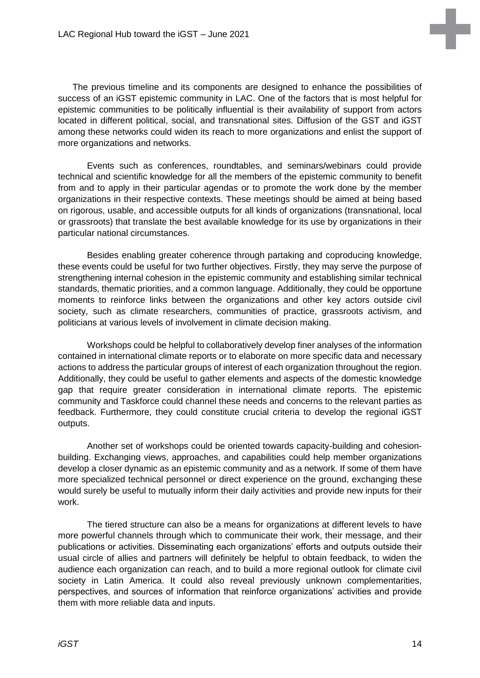

The previous timeline and its components are designed to enhance the possibilities of success of an iGST epistemic community in LAC. One of the factors that is most helpful for epistemic communities to be politically influential is their availability of support from actors located in different political, social, and transnational sites. Diffusion of the GST and iGST among these networks could widen its reach to more organizations and enlist the support of more organizations and networks.

Events such as conferences, roundtables, and seminars/webinars could provide technical and scientific knowledge for all the members of the epistemic community to benefit from and to apply in their particular agendas or to promote the work done by the member organizations in their respective contexts. These meetings should be aimed at being based on rigorous, usable, and accessible outputs for all kinds of organizations (transnational, local or grassroots) that translate the best available knowledge for its use by organizations in their particular national circumstances.

Besides enabling greater coherence through partaking and coproducing knowledge, these events could be useful for two further objectives. Firstly, they may serve the purpose of strengthening internal cohesion in the epistemic community and establishing similar technical standards, thematic priorities, and a common language. Additionally, they could be opportune moments to reinforce links between the organizations and other key actors outside civil society, such as climate researchers, communities of practice, grassroots activism, and politicians at various levels of involvement in climate decision making.

Workshops could be helpful to collaboratively develop finer analyses of the information contained in international climate reports or to elaborate on more specific data and necessary actions to address the particular groups of interest of each organization throughout the region. Additionally, they could be useful to gather elements and aspects of the domestic knowledge gap that require greater consideration in international climate reports. The epistemic community and Taskforce could channel these needs and concerns to the relevant parties as feedback. Furthermore, they could constitute crucial criteria to develop the regional iGST outputs.

Another set of workshops could be oriented towards capacity-building and cohesionbuilding. Exchanging views, approaches, and capabilities could help member organizations develop a closer dynamic as an epistemic community and as a network. If some of them have more specialized technical personnel or direct experience on the ground, exchanging these would surely be useful to mutually inform their daily activities and provide new inputs for their work.

The tiered structure can also be a means for organizations at different levels to have more powerful channels through which to communicate their work, their message, and their publications or activities. Disseminating each organizations' efforts and outputs outside their usual circle of allies and partners will definitely be helpful to obtain feedback, to widen the audience each organization can reach, and to build a more regional outlook for climate civil society in Latin America. It could also reveal previously unknown complementarities, perspectives, and sources of information that reinforce organizations' activities and provide them with more reliable data and inputs.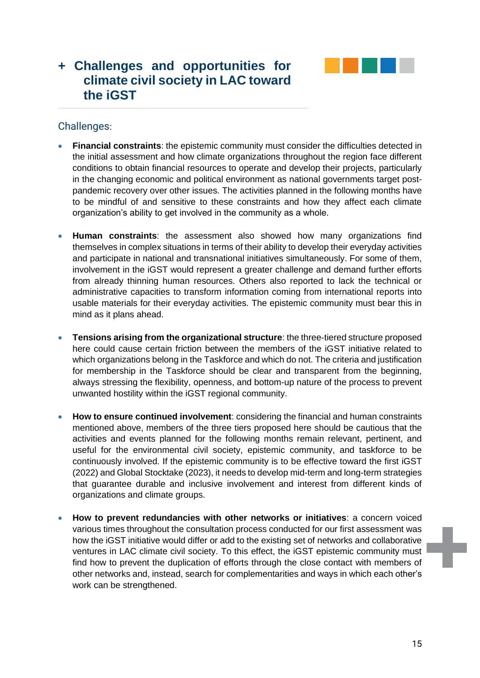

# <span id="page-14-0"></span>**+ Challenges and opportunities for climate civil society in LAC toward the iGST**

#### <span id="page-14-1"></span>Challenges:

- **Financial constraints**: the epistemic community must consider the difficulties detected in the initial assessment and how climate organizations throughout the region face different conditions to obtain financial resources to operate and develop their projects, particularly in the changing economic and political environment as national governments target postpandemic recovery over other issues. The activities planned in the following months have to be mindful of and sensitive to these constraints and how they affect each climate organization's ability to get involved in the community as a whole.
- **Human constraints**: the assessment also showed how many organizations find themselves in complex situations in terms of their ability to develop their everyday activities and participate in national and transnational initiatives simultaneously. For some of them, involvement in the iGST would represent a greater challenge and demand further efforts from already thinning human resources. Others also reported to lack the technical or administrative capacities to transform information coming from international reports into usable materials for their everyday activities. The epistemic community must bear this in mind as it plans ahead.
- **Tensions arising from the organizational structure**: the three-tiered structure proposed here could cause certain friction between the members of the iGST initiative related to which organizations belong in the Taskforce and which do not. The criteria and justification for membership in the Taskforce should be clear and transparent from the beginning, always stressing the flexibility, openness, and bottom-up nature of the process to prevent unwanted hostility within the iGST regional community.
- **How to ensure continued involvement**: considering the financial and human constraints mentioned above, members of the three tiers proposed here should be cautious that the activities and events planned for the following months remain relevant, pertinent, and useful for the environmental civil society, epistemic community, and taskforce to be continuously involved. If the epistemic community is to be effective toward the first iGST (2022) and Global Stocktake (2023), it needs to develop mid-term and long-term strategies that guarantee durable and inclusive involvement and interest from different kinds of organizations and climate groups.
- **How to prevent redundancies with other networks or initiatives**: a concern voiced various times throughout the consultation process conducted for our first assessment was how the iGST initiative would differ or add to the existing set of networks and collaborative ventures in LAC climate civil society. To this effect, the iGST epistemic community must find how to prevent the duplication of efforts through the close contact with members of other networks and, instead, search for complementarities and ways in which each other's work can be strengthened.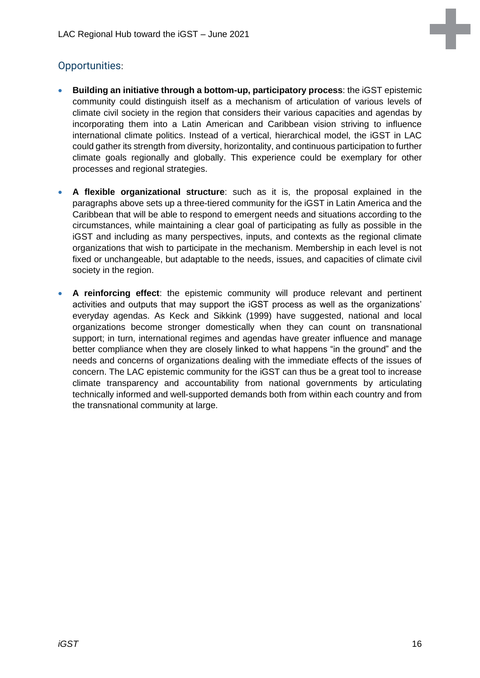### <span id="page-15-0"></span>Opportunities:

- **Building an initiative through a bottom-up, participatory process**: the iGST epistemic community could distinguish itself as a mechanism of articulation of various levels of climate civil society in the region that considers their various capacities and agendas by incorporating them into a Latin American and Caribbean vision striving to influence international climate politics. Instead of a vertical, hierarchical model, the iGST in LAC could gather its strength from diversity, horizontality, and continuous participation to further climate goals regionally and globally. This experience could be exemplary for other processes and regional strategies.
- **A flexible organizational structure**: such as it is, the proposal explained in the paragraphs above sets up a three-tiered community for the iGST in Latin America and the Caribbean that will be able to respond to emergent needs and situations according to the circumstances, while maintaining a clear goal of participating as fully as possible in the iGST and including as many perspectives, inputs, and contexts as the regional climate organizations that wish to participate in the mechanism. Membership in each level is not fixed or unchangeable, but adaptable to the needs, issues, and capacities of climate civil society in the region.
- **A reinforcing effect**: the epistemic community will produce relevant and pertinent activities and outputs that may support the iGST process as well as the organizations' everyday agendas. As Keck and Sikkink (1999) have suggested, national and local organizations become stronger domestically when they can count on transnational support; in turn, international regimes and agendas have greater influence and manage better compliance when they are closely linked to what happens "in the ground" and the needs and concerns of organizations dealing with the immediate effects of the issues of concern. The LAC epistemic community for the iGST can thus be a great tool to increase climate transparency and accountability from national governments by articulating technically informed and well-supported demands both from within each country and from the transnational community at large.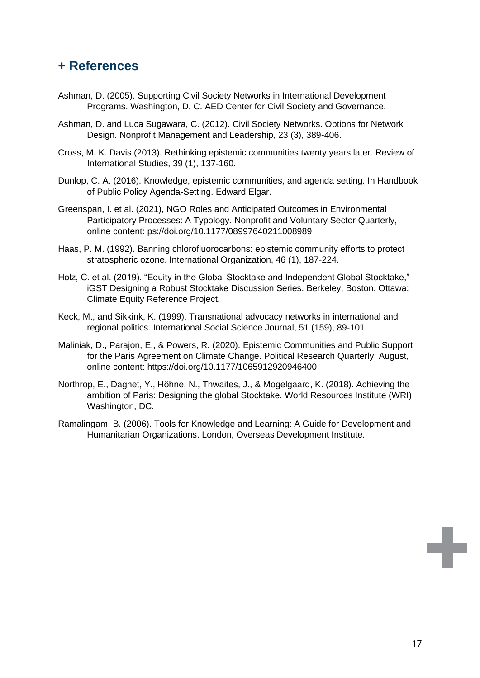## <span id="page-16-0"></span>**+ References**

- Ashman, D. (2005). Supporting Civil Society Networks in International Development Programs. Washington, D. C. AED Center for Civil Society and Governance.
- Ashman, D. and Luca Sugawara, C. (2012). Civil Society Networks. Options for Network Design. Nonprofit Management and Leadership, 23 (3), 389-406.
- Cross, M. K. Davis (2013). Rethinking epistemic communities twenty years later. Review of International Studies, 39 (1), 137-160.
- Dunlop, C. A. (2016). Knowledge, epistemic communities, and agenda setting. In Handbook of Public Policy Agenda-Setting. Edward Elgar.
- Greenspan, I. et al. (2021), NGO Roles and Anticipated Outcomes in Environmental Participatory Processes: A Typology. Nonprofit and Voluntary Sector Quarterly, online content: ps://doi.org/10.1177/08997640211008989
- Haas, P. M. (1992). Banning chlorofluorocarbons: epistemic community efforts to protect stratospheric ozone. International Organization, 46 (1), 187-224.
- Holz, C. et al. (2019). "Equity in the Global Stocktake and Independent Global Stocktake," iGST Designing a Robust Stocktake Discussion Series. Berkeley, Boston, Ottawa: Climate Equity Reference Project.
- Keck, M., and Sikkink, K. (1999). Transnational advocacy networks in international and regional politics. International Social Science Journal, 51 (159), 89-101.
- Maliniak, D., Parajon, E., & Powers, R. (2020). Epistemic Communities and Public Support for the Paris Agreement on Climate Change. Political Research Quarterly, August, online content: https://doi.org/10.1177/1065912920946400
- Northrop, E., Dagnet, Y., Höhne, N., Thwaites, J., & Mogelgaard, K. (2018). Achieving the ambition of Paris: Designing the global Stocktake. World Resources Institute (WRI), Washington, DC.
- Ramalingam, B. (2006). Tools for Knowledge and Learning: A Guide for Development and Humanitarian Organizations. London, Overseas Development Institute.

E.